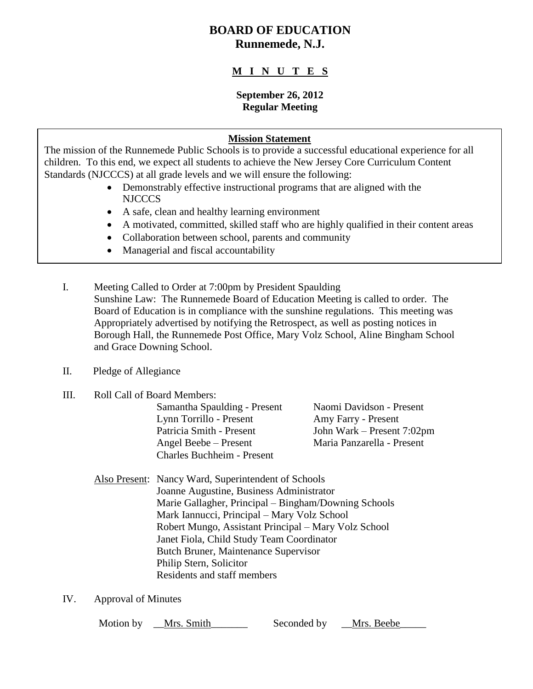# **BOARD OF EDUCATION Runnemede, N.J.**

## **M I N U T E S**

#### **September 26, 2012 Regular Meeting**

### **Mission Statement**

The mission of the Runnemede Public Schools is to provide a successful educational experience for all children. To this end, we expect all students to achieve the New Jersey Core Curriculum Content Standards (NJCCCS) at all grade levels and we will ensure the following:

- Demonstrably effective instructional programs that are aligned with the NJCCCS
- A safe, clean and healthy learning environment
- A motivated, committed, skilled staff who are highly qualified in their content areas
- Collaboration between school, parents and community
- Managerial and fiscal accountability
- I. Meeting Called to Order at 7:00pm by President Spaulding Sunshine Law: The Runnemede Board of Education Meeting is called to order. The Board of Education is in compliance with the sunshine regulations. This meeting was Appropriately advertised by notifying the Retrospect, as well as posting notices in Borough Hall, the Runnemede Post Office, Mary Volz School, Aline Bingham School and Grace Downing School.
- II. Pledge of Allegiance
- III. Roll Call of Board Members:

Samantha Spaulding - Present Naomi Davidson - Present Lynn Torrillo - Present Amy Farry - Present Patricia Smith - Present John Wark – Present 7:02pm Angel Beebe – Present Maria Panzarella - Present Charles Buchheim - Present

- Also Present: Nancy Ward, Superintendent of Schools Joanne Augustine, Business Administrator Marie Gallagher, Principal – Bingham/Downing Schools Mark Iannucci, Principal – Mary Volz School Robert Mungo, Assistant Principal – Mary Volz School Janet Fiola, Child Study Team Coordinator Butch Bruner, Maintenance Supervisor Philip Stern, Solicitor Residents and staff members
- IV. Approval of Minutes

Motion by **Mrs.** Smith Seconded by Mrs. Beebe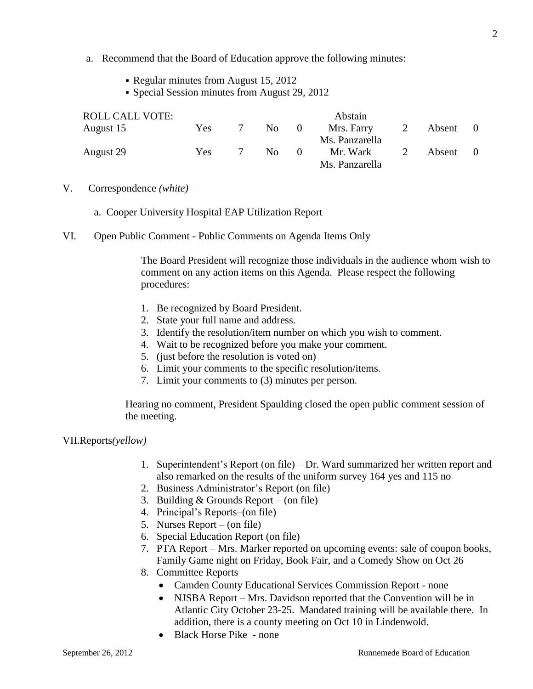- a. Recommend that the Board of Education approve the following minutes:
	- Regular minutes from August 15, 2012
	- Special Session minutes from August 29, 2012

| <b>ROLL CALL VOTE:</b> |            |     |          | Abstain        |   |        |  |
|------------------------|------------|-----|----------|----------------|---|--------|--|
| August 15              | Yes        | No. | $\theta$ | Mrs. Farry     | 2 | Absent |  |
|                        |            |     |          | Ms. Panzarella |   |        |  |
| August 29              | <b>Yes</b> | No. | $\theta$ | Mr. Wark       |   | Absent |  |
|                        |            |     |          | Ms. Panzarella |   |        |  |

- V. Correspondence *(white) –*
	- a. Cooper University Hospital EAP Utilization Report
- VI. Open Public Comment Public Comments on Agenda Items Only

The Board President will recognize those individuals in the audience whom wish to comment on any action items on this Agenda. Please respect the following procedures:

- 1. Be recognized by Board President.
- 2. State your full name and address.
- 3. Identify the resolution/item number on which you wish to comment.
- 4. Wait to be recognized before you make your comment.
- 5. (just before the resolution is voted on)
- 6. Limit your comments to the specific resolution/items.
- 7. Limit your comments to (3) minutes per person.

Hearing no comment, President Spaulding closed the open public comment session of the meeting.

VII.Reports*(yellow)*

- 1. Superintendent's Report (on file) Dr. Ward summarized her written report and also remarked on the results of the uniform survey 164 yes and 115 no
- 2. Business Administrator's Report (on file)
- 3. Building & Grounds Report (on file)
- 4. Principal's Reports–(on file)
- 5. Nurses Report (on file)
- 6. Special Education Report (on file)
- 7. PTA Report Mrs. Marker reported on upcoming events: sale of coupon books, Family Game night on Friday, Book Fair, and a Comedy Show on Oct 26
- 8. Committee Reports
	- Camden County Educational Services Commission Report none
		- NJSBA Report Mrs. Davidson reported that the Convention will be in Atlantic City October 23-25. Mandated training will be available there. In addition, there is a county meeting on Oct 10 in Lindenwold.
		- Black Horse Pike none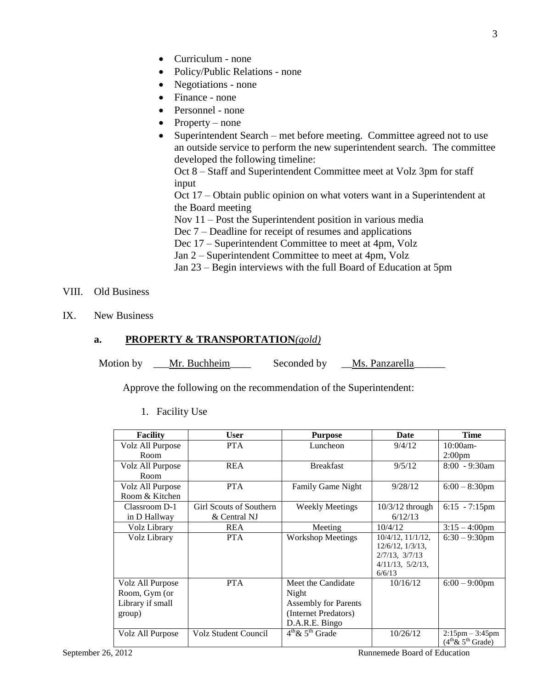3

- Curriculum none
- Policy/Public Relations none
- Negotiations none
- Finance none
- Personnel none
- Property none
- Superintendent Search met before meeting. Committee agreed not to use an outside service to perform the new superintendent search. The committee developed the following timeline:

Oct 8 – Staff and Superintendent Committee meet at Volz 3pm for staff input

Oct 17 – Obtain public opinion on what voters want in a Superintendent at the Board meeting

Nov 11 – Post the Superintendent position in various media

- Dec 7 Deadline for receipt of resumes and applications
- Dec 17 Superintendent Committee to meet at 4pm, Volz
- Jan 2 Superintendent Committee to meet at 4pm, Volz
- Jan 23 Begin interviews with the full Board of Education at 5pm
- VIII. Old Business
- IX. New Business

#### **a. PROPERTY & TRANSPORTATION***(gold)*

Motion by \_\_\_Mr. Buchheim \_\_\_\_\_\_\_\_ Seconded by \_\_Ms. Panzarella\_\_\_\_\_\_\_\_\_\_\_

Approve the following on the recommendation of the Superintendent:

| <b>Facility</b>  | <b>User</b>             | <b>Purpose</b>              | Date                    | Time                                                      |
|------------------|-------------------------|-----------------------------|-------------------------|-----------------------------------------------------------|
| Volz All Purpose | <b>PTA</b>              | Luncheon                    | 9/4/12                  | $10:00$ am-                                               |
| Room             |                         |                             |                         | 2:00 <sub>pm</sub>                                        |
| Volz All Purpose | <b>REA</b>              | <b>Breakfast</b>            | 9/5/12                  | $8:00 - 9:30$ am                                          |
| Room             |                         |                             |                         |                                                           |
| Volz All Purpose | <b>PTA</b>              | <b>Family Game Night</b>    | 9/28/12                 | $6:00 - 8:30$ pm                                          |
| Room & Kitchen   |                         |                             |                         |                                                           |
| Classroom D-1    | Girl Scouts of Southern | <b>Weekly Meetings</b>      | $10/3/12$ through       | $6:15 - 7:15 \text{pm}$                                   |
| in D Hallway     | & Central NJ            |                             | 6/12/13                 |                                                           |
| Volz Library     | <b>REA</b>              | Meeting                     | 10/4/12                 | $3:15 - 4:00$ pm                                          |
| Volz Library     | <b>PTA</b>              | <b>Workshop Meetings</b>    | $10/4/12$ , $11/1/12$ , | $6:30 - 9:30$ pm                                          |
|                  |                         |                             | $12/6/12$ , $1/3/13$ ,  |                                                           |
|                  |                         |                             | $2/7/13$ , $3/7/13$     |                                                           |
|                  |                         |                             | $4/11/13$ , $5/2/13$ ,  |                                                           |
|                  |                         |                             | 6/6/13                  |                                                           |
| Volz All Purpose | <b>PTA</b>              | Meet the Candidate          | 10/16/12                | $6:00 - 9:00$ pm                                          |
| Room, Gym (or    |                         | Night                       |                         |                                                           |
| Library if small |                         | <b>Assembly for Parents</b> |                         |                                                           |
| group)           |                         | (Internet Predators)        |                         |                                                           |
|                  |                         | D.A.R.E. Bingo              |                         |                                                           |
| Volz All Purpose | Volz Student Council    | $4^{th}$ & $5^{th}$ Grade   | 10/26/12                | $2:15 \text{pm} - 3:45 \text{pm}$<br>$(4th \& 5th$ Grade) |

1. Facility Use

September 26, 2012 **Runnemede Board of Education**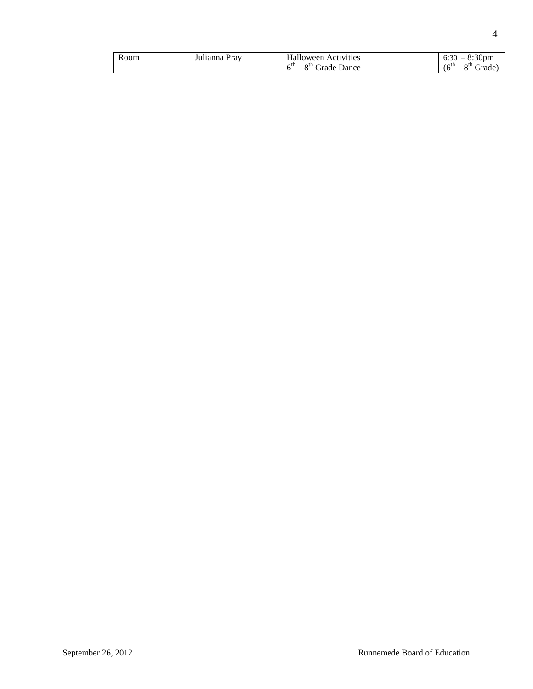| Room | Julianna Prav | <b>Halloween Activities</b>                  | $-8:30 \text{pm}$<br>6:30 |
|------|---------------|----------------------------------------------|---------------------------|
|      |               | $\epsilon$ th<br>8 <sup>th</sup> Grade Dance | $(6^{th}$<br>$8th$ Grade) |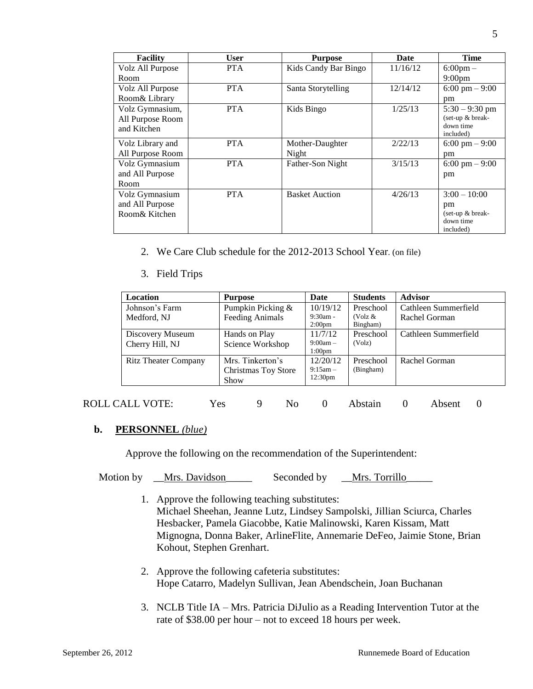| <b>Facility</b>  | User       | <b>Purpose</b>        | Date     | <b>Time</b>              |
|------------------|------------|-----------------------|----------|--------------------------|
| Volz All Purpose | <b>PTA</b> | Kids Candy Bar Bingo  | 11/16/12 | $6:00 \text{pm} -$       |
| Room             |            |                       |          | $9:00 \text{pm}$         |
| Volz All Purpose | <b>PTA</b> | Santa Storytelling    | 12/14/12 | $6:00 \text{ pm} - 9:00$ |
| Room& Library    |            |                       |          | pm                       |
| Volz Gymnasium,  | <b>PTA</b> | Kids Bingo            | 1/25/13  | $5:30 - 9:30$ pm         |
| All Purpose Room |            |                       |          | (set-up & break-         |
| and Kitchen      |            |                       |          | down time<br>included)   |
| Volz Library and | <b>PTA</b> | Mother-Daughter       | 2/22/13  | $6:00 \text{ pm} - 9:00$ |
| All Purpose Room |            | Night                 |          | pm                       |
| Volz Gymnasium   | <b>PTA</b> | Father-Son Night      | 3/15/13  | 6:00 pm $-9:00$          |
| and All Purpose  |            |                       |          | pm                       |
| Room             |            |                       |          |                          |
| Volz Gymnasium   | <b>PTA</b> | <b>Basket Auction</b> | 4/26/13  | $3:00 - 10:00$           |
| and All Purpose  |            |                       |          | pm                       |
| Room& Kitchen    |            |                       |          | (set-up $&$ break-       |
|                  |            |                       |          | down time                |
|                  |            |                       |          | included)                |

- 2. We Care Club schedule for the 2012-2013 School Year. (on file)
- 3. Field Trips

| Location                    | <b>Purpose</b>         | Date                             | <b>Students</b>        | <b>Advisor</b>       |
|-----------------------------|------------------------|----------------------------------|------------------------|----------------------|
| Johnson's Farm              | Pumpkin Picking &      | 10/19/12                         | Preschool              | Cathleen Summerfield |
| Medford, NJ                 | <b>Feeding Animals</b> | $9:30am -$<br>2:00 <sub>pm</sub> | (Volz $\&$<br>Bingham) | Rachel Gorman        |
| Discovery Museum            | Hands on Play          | 11/7/12                          | Preschool              | Cathleen Summerfield |
| Cherry Hill, NJ             | Science Workshop       | $9:00am -$<br>1:00 <sub>pm</sub> | (Volz)                 |                      |
| <b>Ritz Theater Company</b> | Mrs. Tinkerton's       | 12/20/12                         | Preschool              | Rachel Gorman        |
|                             | Christmas Toy Store    | $9:15$ am $-$                    | (Bingham)              |                      |
|                             | Show                   | 12:30 <sub>pm</sub>              |                        |                      |

## ROLL CALL VOTE: Yes 9 No 0 Abstain 0 Absent 0

#### **b. PERSONNEL** *(blue)*

Approve the following on the recommendation of the Superintendent:

Motion by \_\_Mrs. Davidson\_\_\_\_\_\_ Seconded by \_\_Mrs. Torrillo\_

- 1. Approve the following teaching substitutes: Michael Sheehan, Jeanne Lutz, Lindsey Sampolski, Jillian Sciurca, Charles Hesbacker, Pamela Giacobbe, Katie Malinowski, Karen Kissam, Matt Mignogna, Donna Baker, ArlineFlite, Annemarie DeFeo, Jaimie Stone, Brian Kohout, Stephen Grenhart.
- 2. Approve the following cafeteria substitutes: Hope Catarro, Madelyn Sullivan, Jean Abendschein, Joan Buchanan
- 3. NCLB Title IA Mrs. Patricia DiJulio as a Reading Intervention Tutor at the rate of \$38.00 per hour – not to exceed 18 hours per week.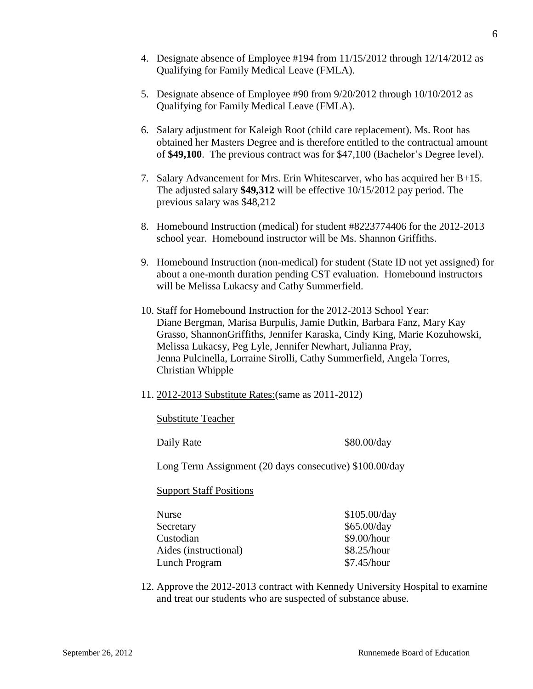- 5. Designate absence of Employee #90 from 9/20/2012 through 10/10/2012 as Qualifying for Family Medical Leave (FMLA).
- 6. Salary adjustment for Kaleigh Root (child care replacement). Ms. Root has obtained her Masters Degree and is therefore entitled to the contractual amount of **\$49,100**. The previous contract was for \$47,100 (Bachelor's Degree level).
- 7. Salary Advancement for Mrs. Erin Whitescarver, who has acquired her B+15. The adjusted salary **\$49,312** will be effective 10/15/2012 pay period. The previous salary was \$48,212
- 8. Homebound Instruction (medical) for student #8223774406 for the 2012-2013 school year. Homebound instructor will be Ms. Shannon Griffiths.
- 9. Homebound Instruction (non-medical) for student (State ID not yet assigned) for about a one-month duration pending CST evaluation. Homebound instructors will be Melissa Lukacsy and Cathy Summerfield.
- 10. Staff for Homebound Instruction for the 2012-2013 School Year: Diane Bergman, Marisa Burpulis, Jamie Dutkin, Barbara Fanz, Mary Kay Grasso, ShannonGriffiths, Jennifer Karaska, Cindy King, Marie Kozuhowski, Melissa Lukacsy, Peg Lyle, Jennifer Newhart, Julianna Pray, Jenna Pulcinella, Lorraine Sirolli, Cathy Summerfield, Angela Torres, Christian Whipple
- 11. 2012-2013 Substitute Rates:(same as 2011-2012)

Substitute Teacher

Daily Rate \$80.00/day

Long Term Assignment (20 days consecutive) \$100.00/day

#### Support Staff Positions

| Nurse                 | \$105.00/day |
|-----------------------|--------------|
| Secretary             | \$65.00/day  |
| Custodian             | \$9.00/hour  |
| Aides (instructional) | \$8.25/hour  |
| Lunch Program         | \$7.45/hour  |

12. Approve the 2012-2013 contract with Kennedy University Hospital to examine and treat our students who are suspected of substance abuse.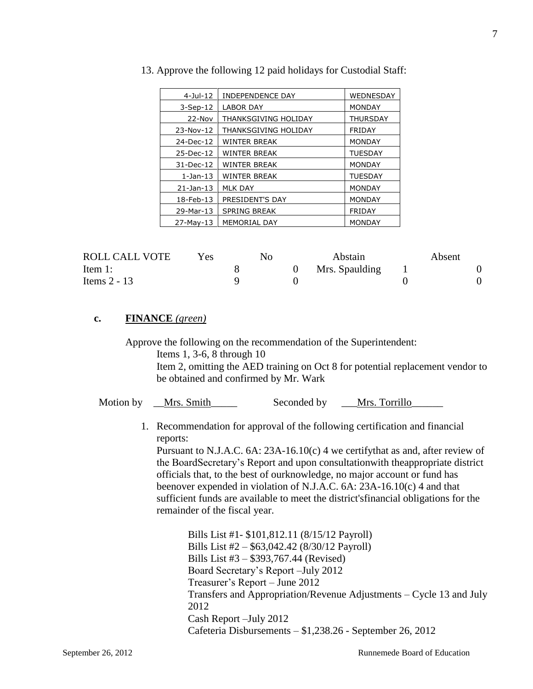| $4 -$ Jul $-12$ | <b>INDEPENDENCE DAY</b> | WEDNESDAY       |
|-----------------|-------------------------|-----------------|
| $3-Sep-12$      | <b>LABOR DAY</b>        | <b>MONDAY</b>   |
| 22-Nov          | THANKSGIVING HOLIDAY    | <b>THURSDAY</b> |
| 23-Nov-12       | THANKSGIVING HOLIDAY    | <b>FRIDAY</b>   |
| 24-Dec-12       | <b>WINTER BREAK</b>     | <b>MONDAY</b>   |
| 25-Dec-12       | <b>WINTER BREAK</b>     | <b>TUESDAY</b>  |
| 31-Dec-12       | <b>WINTER BREAK</b>     | <b>MONDAY</b>   |
| $1$ -Jan- $13$  | <b>WINTER BREAK</b>     | <b>TUESDAY</b>  |
| $21$ -Jan-13    | <b>MLK DAY</b>          | <b>MONDAY</b>   |
| 18-Feb-13       | PRESIDENT'S DAY         | <b>MONDAY</b>   |
| 29-Mar-13       | <b>SPRING BREAK</b>     | <b>FRIDAY</b>   |
| $27-May-13$     | MEMORIAL DAY            | <b>MONDAY</b>   |

|  |  |  |  | 13. Approve the following 12 paid holidays for Custodial Staff: |  |
|--|--|--|--|-----------------------------------------------------------------|--|
|  |  |  |  |                                                                 |  |

| ROLL CALL VOTE | Yes. | No | Abstain        | Absent |  |
|----------------|------|----|----------------|--------|--|
| Item 1:        |      |    | Mrs. Spaulding |        |  |
| Items 2 - 13   |      |    |                |        |  |

#### **c. FINANCE** *(green)*

Approve the following on the recommendation of the Superintendent: Items 1, 3-6, 8 through 10

Item 2, omitting the AED training on Oct 8 for potential replacement vendor to be obtained and confirmed by Mr. Wark

| Motion by | Mrs. Smith | Seconded by | Mrs. Torrillo |
|-----------|------------|-------------|---------------|
|           |            |             |               |

1. Recommendation for approval of the following certification and financial reports:

Pursuant to N.J.A.C. 6A: 23A-16.10(c) 4 we certifythat as and, after review of the BoardSecretary's Report and upon consultationwith theappropriate district officials that, to the best of ourknowledge, no major account or fund has beenover expended in violation of N.J.A.C. 6A: 23A-16.10(c) 4 and that sufficient funds are available to meet the district'sfinancial obligations for the remainder of the fiscal year.

Bills List #1- \$101,812.11 (8/15/12 Payroll) Bills List #2 – \$63,042.42 (8/30/12 Payroll) Bills List #3 – \$393,767.44 (Revised) Board Secretary's Report –July 2012 Treasurer's Report – June 2012 Transfers and Appropriation/Revenue Adjustments – Cycle 13 and July 2012 Cash Report –July 2012 Cafeteria Disbursements – \$1,238.26 - September 26, 2012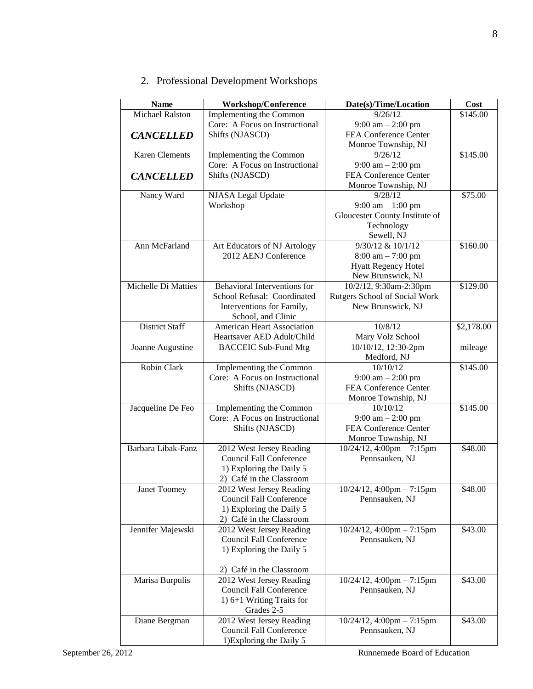2. Professional Development Workshops

| <b>Name</b>           | <b>Workshop/Conference</b>     | Date(s)/Time/Location               | Cost       |
|-----------------------|--------------------------------|-------------------------------------|------------|
| Michael Ralston       | Implementing the Common        | 9/26/12                             | \$145.00   |
|                       | Core: A Focus on Instructional | $9:00 \text{ am} - 2:00 \text{ pm}$ |            |
| <b>CANCELLED</b>      | Shifts (NJASCD)                | FEA Conference Center               |            |
|                       |                                | Monroe Township, NJ                 |            |
| <b>Karen Clements</b> | Implementing the Common        | 9/26/12                             | \$145.00   |
|                       | Core: A Focus on Instructional | $9:00 \text{ am} - 2:00 \text{ pm}$ |            |
| <b>CANCELLED</b>      | Shifts (NJASCD)                | FEA Conference Center               |            |
|                       |                                | Monroe Township, NJ                 |            |
| Nancy Ward            | <b>NJASA</b> Legal Update      | 9/28/12                             | \$75.00    |
|                       | Workshop                       | $9:00$ am $-1:00$ pm                |            |
|                       |                                | Gloucester County Institute of      |            |
|                       |                                | Technology                          |            |
|                       |                                | Sewell, NJ                          |            |
| Ann McFarland         | Art Educators of NJ Artology   | 9/30/12 & 10/1/12                   | \$160.00   |
|                       | 2012 AENJ Conference           | $8:00 \text{ am} - 7:00 \text{ pm}$ |            |
|                       |                                | Hyatt Regency Hotel                 |            |
|                       |                                | New Brunswick, NJ                   |            |
| Michelle Di Matties   | Behavioral Interventions for   | 10/2/12, 9:30am-2:30pm              | \$129.00   |
|                       | School Refusal: Coordinated    | Rutgers School of Social Work       |            |
|                       | Interventions for Family,      | New Brunswick, NJ                   |            |
|                       | School, and Clinic             |                                     |            |
| <b>District Staff</b> | American Heart Association     | 10/8/12                             | \$2,178.00 |
|                       | Heartsaver AED Adult/Child     | Mary Volz School                    |            |
| Joanne Augustine      | <b>BACCEIC Sub-Fund Mtg</b>    | $10/10/12$ , 12:30-2pm              | mileage    |
|                       |                                | Medford, NJ                         |            |
| Robin Clark           | Implementing the Common        | 10/10/12                            | \$145.00   |
|                       | Core: A Focus on Instructional | $9:00 \text{ am} - 2:00 \text{ pm}$ |            |
|                       | Shifts (NJASCD)                | FEA Conference Center               |            |
|                       |                                | Monroe Township, NJ                 |            |
| Jacqueline De Feo     | Implementing the Common        | 10/10/12                            | \$145.00   |
|                       | Core: A Focus on Instructional | $9:00 \text{ am} - 2:00 \text{ pm}$ |            |
|                       | Shifts (NJASCD)                | FEA Conference Center               |            |
|                       |                                | Monroe Township, NJ                 |            |
| Barbara Libak-Fanz    | 2012 West Jersey Reading       | $10/24/12$ , 4:00pm - 7:15pm        | \$48.00    |
|                       | <b>Council Fall Conference</b> | Pennsauken, NJ                      |            |
|                       | 1) Exploring the Daily 5       |                                     |            |
|                       | 2) Café in the Classroom       |                                     |            |
| Janet Toomey          | 2012 West Jersey Reading       | $10/24/12$ , 4:00pm - 7:15pm        | \$48.00    |
|                       | Council Fall Conference        | Pennsauken, NJ                      |            |
|                       | 1) Exploring the Daily 5       |                                     |            |
|                       | 2) Café in the Classroom       |                                     |            |
| Jennifer Majewski     | 2012 West Jersey Reading       | $10/24/12$ , 4:00pm - 7:15pm        | \$43.00    |
|                       | <b>Council Fall Conference</b> | Pennsauken, NJ                      |            |
|                       | 1) Exploring the Daily 5       |                                     |            |
|                       |                                |                                     |            |
|                       | 2) Café in the Classroom       |                                     |            |
| Marisa Burpulis       | 2012 West Jersey Reading       | $10/24/12$ , 4:00pm - 7:15pm        | \$43.00    |
|                       | Council Fall Conference        | Pennsauken, NJ                      |            |
|                       | 1) 6+1 Writing Traits for      |                                     |            |
|                       | Grades 2-5                     |                                     |            |
| Diane Bergman         | 2012 West Jersey Reading       | $10/24/12$ , 4:00pm - 7:15pm        | \$43.00    |
|                       | <b>Council Fall Conference</b> | Pennsauken, NJ                      |            |
|                       | 1) Exploring the Daily 5       |                                     |            |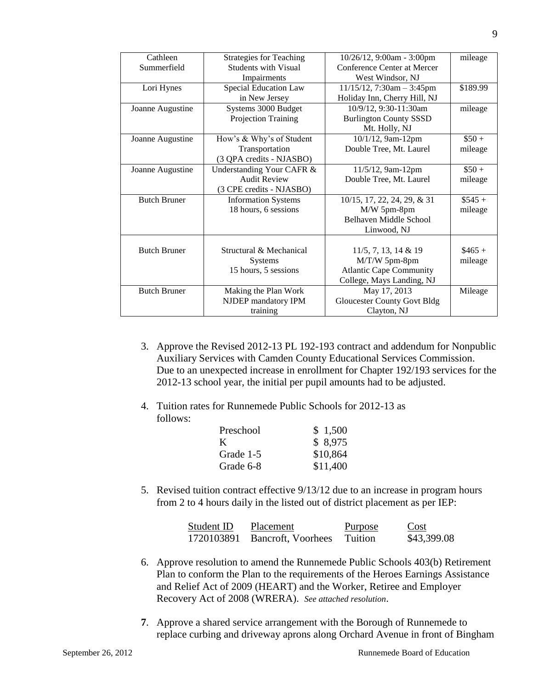| Cathleen            | <b>Strategies for Teaching</b> | 10/26/12, 9:00am - 3:00pm          | mileage   |
|---------------------|--------------------------------|------------------------------------|-----------|
| Summerfield         | <b>Students with Visual</b>    | Conference Center at Mercer        |           |
|                     | Impairments                    | West Windsor, NJ                   |           |
| Lori Hynes          | Special Education Law          | $11/15/12$ , 7:30am - 3:45pm       | \$189.99  |
|                     | in New Jersey                  | Holiday Inn, Cherry Hill, NJ       |           |
| Joanne Augustine    | Systems 3000 Budget            | 10/9/12, 9:30-11:30am              | mileage   |
|                     | Projection Training            | <b>Burlington County SSSD</b>      |           |
|                     |                                | Mt. Holly, NJ                      |           |
| Joanne Augustine    | How's & Why's of Student       | 10/1/12, 9am-12pm                  | $\$50 +$  |
|                     | Transportation                 | Double Tree, Mt. Laurel            | mileage   |
|                     | (3 QPA credits - NJASBO)       |                                    |           |
| Joanne Augustine    | Understanding Your CAFR &      | 11/5/12, 9am-12pm                  | $$50+$    |
|                     | <b>Audit Review</b>            | Double Tree, Mt. Laurel            | mileage   |
|                     | (3 CPE credits - NJASBO)       |                                    |           |
| <b>Butch Bruner</b> | <b>Information Systems</b>     | 10/15, 17, 22, 24, 29, & 31        | $\$545 +$ |
|                     | 18 hours, 6 sessions           | M/W 5pm-8pm                        | mileage   |
|                     |                                | Belhaven Middle School             |           |
|                     |                                | Linwood, NJ                        |           |
|                     |                                |                                    |           |
| <b>Butch Bruner</b> | Structural & Mechanical        | $11/5$ , 7, 13, 14 & 19            | $$465 +$  |
|                     | <b>Systems</b>                 | M/T/W 5pm-8pm                      | mileage   |
|                     | 15 hours, 5 sessions           | <b>Atlantic Cape Community</b>     |           |
|                     |                                | College, Mays Landing, NJ          |           |
| <b>Butch Bruner</b> | Making the Plan Work           | May 17, 2013                       | Mileage   |
|                     | NJDEP mandatory IPM            | <b>Gloucester County Govt Bldg</b> |           |
|                     | training                       | Clayton, NJ                        |           |

- 3. Approve the Revised 2012-13 PL 192-193 contract and addendum for Nonpublic Auxiliary Services with Camden County Educational Services Commission. Due to an unexpected increase in enrollment for Chapter 192/193 services for the 2012-13 school year, the initial per pupil amounts had to be adjusted.
- 4. Tuition rates for Runnemede Public Schools for 2012-13 as follows:

| \$1,500  |
|----------|
| \$8,975  |
| \$10,864 |
| \$11,400 |
|          |

5. Revised tuition contract effective 9/13/12 due to an increase in program hours from 2 to 4 hours daily in the listed out of district placement as per IEP:

| Student ID | Placement                     | <b>Purpose</b> | Cost        |
|------------|-------------------------------|----------------|-------------|
|            | 1720103891 Bancroft, Voorhees | Tuition        | \$43,399.08 |

- 6. Approve resolution to amend the Runnemede Public Schools 403(b) Retirement Plan to conform the Plan to the requirements of the Heroes Earnings Assistance and Relief Act of 2009 (HEART) and the Worker, Retiree and Employer Recovery Act of 2008 (WRERA). *See attached resolution*.
- **7**. Approve a shared service arrangement with the Borough of Runnemede to replace curbing and driveway aprons along Orchard Avenue in front of Bingham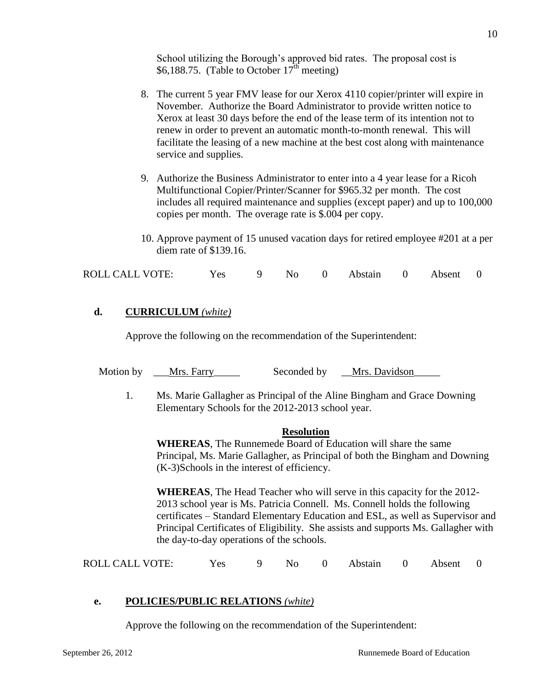School utilizing the Borough's approved bid rates. The proposal cost is \$6,188.75. (Table to October  $17<sup>th</sup>$  meeting)

- 8. The current 5 year FMV lease for our Xerox 4110 copier/printer will expire in November. Authorize the Board Administrator to provide written notice to Xerox at least 30 days before the end of the lease term of its intention not to renew in order to prevent an automatic month-to-month renewal. This will facilitate the leasing of a new machine at the best cost along with maintenance service and supplies.
- 9. Authorize the Business Administrator to enter into a 4 year lease for a Ricoh Multifunctional Copier/Printer/Scanner for \$965.32 per month. The cost includes all required maintenance and supplies (except paper) and up to 100,000 copies per month. The overage rate is \$.004 per copy.
- 10. Approve payment of 15 unused vacation days for retired employee #201 at a per diem rate of \$139.16.

| <b>ROLL CALL VOTE:</b><br>9 No 0 Abstain 0 Absent 0<br>Yes |  |
|------------------------------------------------------------|--|
|------------------------------------------------------------|--|

#### **d. CURRICULUM** *(white)*

Approve the following on the recommendation of the Superintendent:

Motion by Let Mrs. Farry Seconded by Mrs. Davidson

1. Ms. Marie Gallagher as Principal of the Aline Bingham and Grace Downing Elementary Schools for the 2012-2013 school year.

#### **Resolution**

**WHEREAS**, The Runnemede Board of Education will share the same Principal, Ms. Marie Gallagher, as Principal of both the Bingham and Downing (K-3)Schools in the interest of efficiency.

**WHEREAS**, The Head Teacher who will serve in this capacity for the 2012- 2013 school year is Ms. Patricia Connell. Ms. Connell holds the following certificates – Standard Elementary Education and ESL, as well as Supervisor and Principal Certificates of Eligibility. She assists and supports Ms. Gallagher with the day-to-day operations of the schools.

| <b>ROLL CALL VOTE:</b> | Yes |  |  |  | 9 No 0 Abstain 0 Absent 0 |  |  |  |
|------------------------|-----|--|--|--|---------------------------|--|--|--|
|------------------------|-----|--|--|--|---------------------------|--|--|--|

#### **e. POLICIES/PUBLIC RELATIONS** *(white)*

Approve the following on the recommendation of the Superintendent: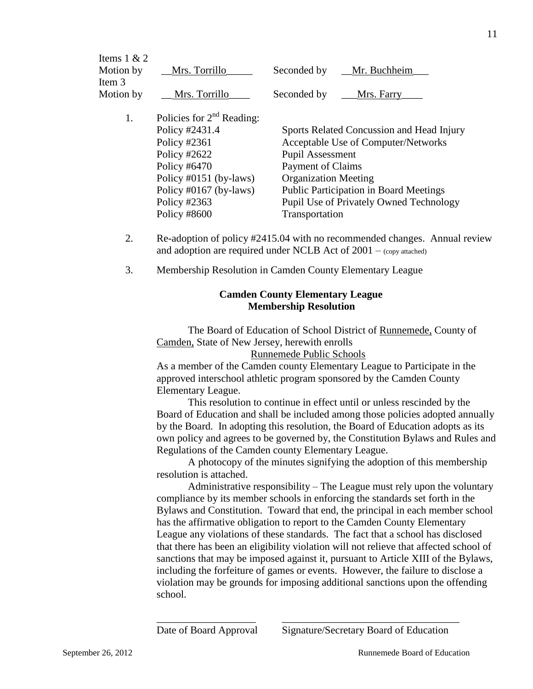| Items $1 & 2$ |                             |                                               |  |  |  |
|---------------|-----------------------------|-----------------------------------------------|--|--|--|
| Motion by     | Mrs. Torrillo               | Mr. Buchheim<br>Seconded by                   |  |  |  |
| Item 3        |                             |                                               |  |  |  |
| Motion by     | Mrs. Torrillo               | Seconded by<br>Mrs. Farry                     |  |  |  |
|               |                             |                                               |  |  |  |
| 1.            | Policies for $2nd$ Reading: |                                               |  |  |  |
|               | Policy #2431.4              | Sports Related Concussion and Head Injury     |  |  |  |
|               | Policy #2361                | Acceptable Use of Computer/Networks           |  |  |  |
|               | Policy $\#2622$             | <b>Pupil Assessment</b>                       |  |  |  |
|               | Policy $#6470$              | Payment of Claims                             |  |  |  |
|               | Policy $\#0151$ (by-laws)   | <b>Organization Meeting</b>                   |  |  |  |
|               | Policy #0167 (by-laws)      | <b>Public Participation in Board Meetings</b> |  |  |  |
|               | Policy #2363                | Pupil Use of Privately Owned Technology       |  |  |  |
|               | Policy #8600                | Transportation                                |  |  |  |
|               |                             |                                               |  |  |  |
|               |                             |                                               |  |  |  |

- 2. Re-adoption of policy #2415.04 with no recommended changes. Annual review and adoption are required under NCLB Act of  $2001 - (copy attached)$
- 3. Membership Resolution in Camden County Elementary League

#### **Camden County Elementary League Membership Resolution**

The Board of Education of School District of Runnemede, County of Camden, State of New Jersey, herewith enrolls

Runnemede Public Schools

As a member of the Camden county Elementary League to Participate in the approved interschool athletic program sponsored by the Camden County Elementary League.

This resolution to continue in effect until or unless rescinded by the Board of Education and shall be included among those policies adopted annually by the Board. In adopting this resolution, the Board of Education adopts as its own policy and agrees to be governed by, the Constitution Bylaws and Rules and Regulations of the Camden county Elementary League.

A photocopy of the minutes signifying the adoption of this membership resolution is attached.

Administrative responsibility – The League must rely upon the voluntary compliance by its member schools in enforcing the standards set forth in the Bylaws and Constitution. Toward that end, the principal in each member school has the affirmative obligation to report to the Camden County Elementary League any violations of these standards. The fact that a school has disclosed that there has been an eligibility violation will not relieve that affected school of sanctions that may be imposed against it, pursuant to Article XIII of the Bylaws, including the forfeiture of games or events. However, the failure to disclose a violation may be grounds for imposing additional sanctions upon the offending school.

\_\_\_\_\_\_\_\_\_\_\_\_\_\_\_\_\_\_\_ \_\_\_\_\_\_\_\_\_\_\_\_\_\_\_\_\_\_\_\_\_\_\_\_\_\_\_\_\_\_\_\_\_\_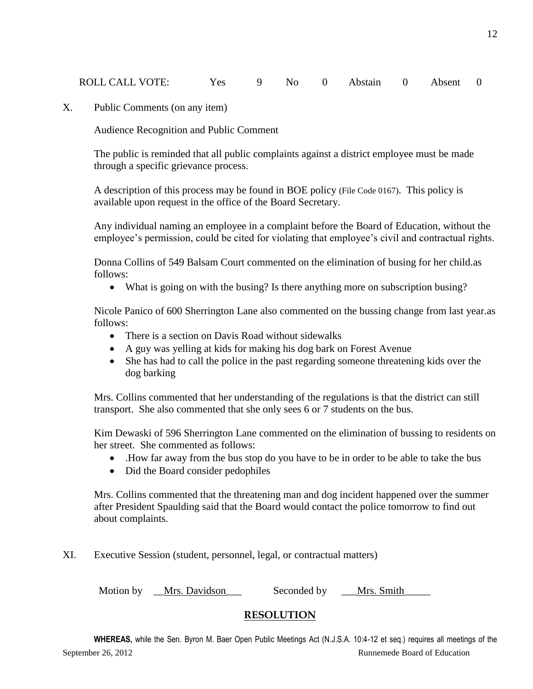| ROLL CALL VOTE: |  |  | Yes 9 No 0 Abstain 0 Absent 0 |  |  |
|-----------------|--|--|-------------------------------|--|--|
|                 |  |  |                               |  |  |

X. Public Comments (on any item)

Audience Recognition and Public Comment

The public is reminded that all public complaints against a district employee must be made through a specific grievance process.

A description of this process may be found in BOE policy (File Code 0167). This policy is available upon request in the office of the Board Secretary.

Any individual naming an employee in a complaint before the Board of Education, without the employee's permission, could be cited for violating that employee's civil and contractual rights.

Donna Collins of 549 Balsam Court commented on the elimination of busing for her child.as follows:

What is going on with the busing? Is there anything more on subscription busing?

Nicole Panico of 600 Sherrington Lane also commented on the bussing change from last year.as follows:

- There is a section on Davis Road without sidewalks
- A guy was yelling at kids for making his dog bark on Forest Avenue
- She has had to call the police in the past regarding someone threatening kids over the dog barking

Mrs. Collins commented that her understanding of the regulations is that the district can still transport. She also commented that she only sees 6 or 7 students on the bus.

Kim Dewaski of 596 Sherrington Lane commented on the elimination of bussing to residents on her street. She commented as follows:

- .How far away from the bus stop do you have to be in order to be able to take the bus
- Did the Board consider pedophiles

Mrs. Collins commented that the threatening man and dog incident happened over the summer after President Spaulding said that the Board would contact the police tomorrow to find out about complaints.

XI. Executive Session (student, personnel, legal, or contractual matters)

Motion by <u>Mrs. Davidson</u> Seconded by <u>Mrs. Smith</u>

## **RESOLUTION**

September 26, 2012 **Runnemede Board of Education WHEREAS,** while the Sen. Byron M. Baer Open Public Meetings Act (N.J.S.A. 10:4-12 et seq.) requires all meetings of the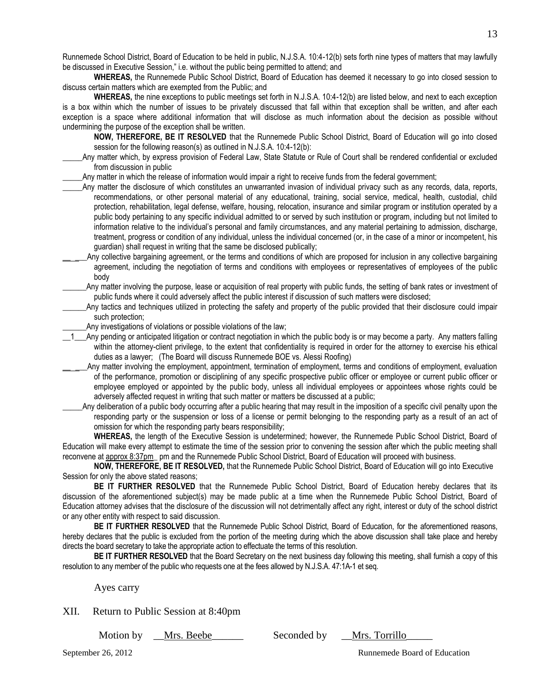Runnemede School District, Board of Education to be held in public, N.J.S.A. 10:4-12(b) sets forth nine types of matters that may lawfully be discussed in Executive Session," i.e. without the public being permitted to attend; and

**WHEREAS,** the Runnemede Public School District, Board of Education has deemed it necessary to go into closed session to discuss certain matters which are exempted from the Public; and

**WHEREAS,** the nine exceptions to public meetings set forth in N.J.S.A. 10:4-12(b) are listed below, and next to each exception is a box within which the number of issues to be privately discussed that fall within that exception shall be written, and after each exception is a space where additional information that will disclose as much information about the decision as possible without undermining the purpose of the exception shall be written.

**NOW, THEREFORE, BE IT RESOLVED** that the Runnemede Public School District, Board of Education will go into closed session for the following reason(s) as outlined in N.J.S.A. 10:4-12(b):

\_\_\_\_\_Any matter which, by express provision of Federal Law, State Statute or Rule of Court shall be rendered confidential or excluded from discussion in public

Any matter in which the release of information would impair a right to receive funds from the federal government;

- \_\_\_\_\_Any matter the disclosure of which constitutes an unwarranted invasion of individual privacy such as any records, data, reports, recommendations, or other personal material of any educational, training, social service, medical, health, custodial, child protection, rehabilitation, legal defense, welfare, housing, relocation, insurance and similar program or institution operated by a public body pertaining to any specific individual admitted to or served by such institution or program, including but not limited to information relative to the individual's personal and family circumstances, and any material pertaining to admission, discharge, treatment, progress or condition of any individual, unless the individual concerned (or, in the case of a minor or incompetent, his guardian) shall request in writing that the same be disclosed publically;
- Any collective bargaining agreement, or the terms and conditions of which are proposed for inclusion in any collective bargaining agreement, including the negotiation of terms and conditions with employees or representatives of employees of the public body

Any matter involving the purpose, lease or acquisition of real property with public funds, the setting of bank rates or investment of public funds where it could adversely affect the public interest if discussion of such matters were disclosed;

Any tactics and techniques utilized in protecting the safety and property of the public provided that their disclosure could impair such protection;

Any investigations of violations or possible violations of the law;

1\_Any pending or anticipated litigation or contract negotiation in which the public body is or may become a party. Any matters falling within the attorney-client privilege, to the extent that confidentiality is required in order for the attorney to exercise his ethical duties as a lawyer; (The Board will discuss Runnemede BOE vs. Alessi Roofing)

Any matter involving the employment, appointment, termination of employment, terms and conditions of employment, evaluation of the performance, promotion or disciplining of any specific prospective public officer or employee or current public officer or employee employed or appointed by the public body, unless all individual employees or appointees whose rights could be adversely affected request in writing that such matter or matters be discussed at a public;

Any deliberation of a public body occurring after a public hearing that may result in the imposition of a specific civil penalty upon the responding party or the suspension or loss of a license or permit belonging to the responding party as a result of an act of omission for which the responding party bears responsibility;

**WHEREAS,** the length of the Executive Session is undetermined; however, the Runnemede Public School District, Board of Education will make every attempt to estimate the time of the session prior to convening the session after which the public meeting shall reconvene at approx 8:37pm\_ pm and the Runnemede Public School District, Board of Education will proceed with business.

**NOW, THEREFORE, BE IT RESOLVED,** that the Runnemede Public School District, Board of Education will go into Executive Session for only the above stated reasons;

**BE IT FURTHER RESOLVED** that the Runnemede Public School District, Board of Education hereby declares that its discussion of the aforementioned subject(s) may be made public at a time when the Runnemede Public School District, Board of Education attorney advises that the disclosure of the discussion will not detrimentally affect any right, interest or duty of the school district or any other entity with respect to said discussion.

**BE IT FURTHER RESOLVED** that the Runnemede Public School District, Board of Education, for the aforementioned reasons, hereby declares that the public is excluded from the portion of the meeting during which the above discussion shall take place and hereby directs the board secretary to take the appropriate action to effectuate the terms of this resolution.

**BE IT FURTHER RESOLVED** that the Board Secretary on the next business day following this meeting, shall furnish a copy of this resolution to any member of the public who requests one at the fees allowed by N.J.S.A. 47:1A-1 et seq.

Ayes carry

XII. Return to Public Session at 8:40pm

Motion by Let Mrs. Beebe Let Seconded by Let Mrs. Torrillo

13

September 26, 2012 Runnemede Board of Education